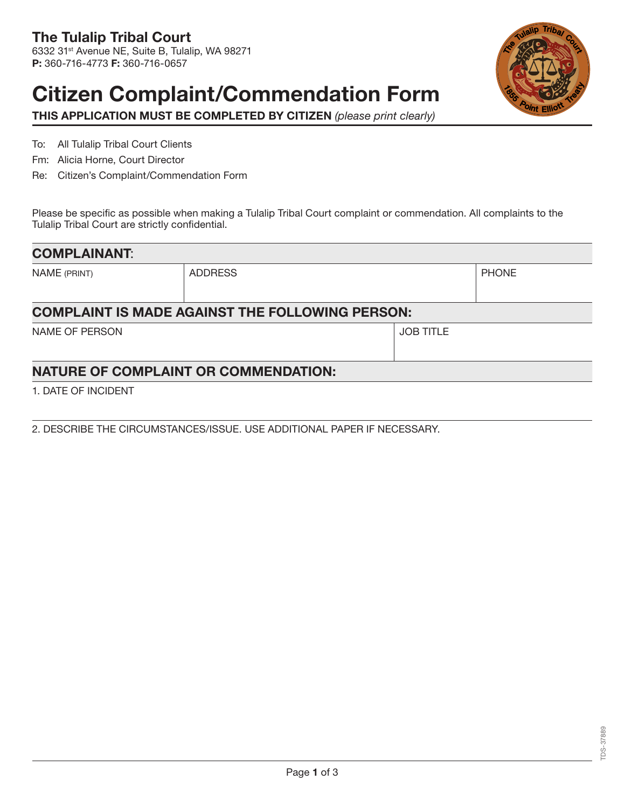## Citizen Complaint/Commendation Form



THIS APPLICATION MUST BE COMPLETED BY CITIZEN *(please print clearly)*

To: All Tulalip Tribal Court Clients

- Fm: Alicia Horne, Court Director
- Re: Citizen's Complaint/Commendation Form

Please be specific as possible when making a Tulalip Tribal Court complaint or commendation. All complaints to the Tulalip Tribal Court are strictly confidential.

| <b>COMPLAINANT:</b> |                                                        |                  |              |
|---------------------|--------------------------------------------------------|------------------|--------------|
| NAME (PRINT)        | <b>ADDRESS</b>                                         |                  | <b>PHONE</b> |
|                     | <b>COMPLAINT IS MADE AGAINST THE FOLLOWING PERSON:</b> |                  |              |
| NAME OF PERSON      |                                                        | <b>JOB TITLE</b> |              |
|                     | <b>NATURE OF COMPLAINT OR COMMENDATION:</b>            |                  |              |

1. DATE OF INCIDENT

2. DESCRIBE THE CIRCUMSTANCES/ISSUE. USE ADDITIONAL PAPER IF NECESSARY.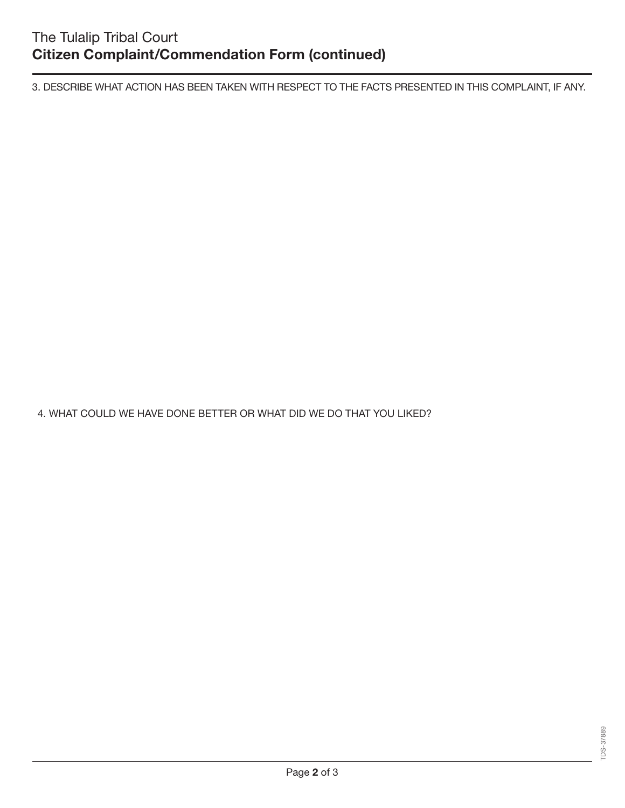3. DESCRIBE WHAT ACTION HAS BEEN TAKEN WITH RESPECT TO THE FACTS PRESENTED IN THIS COMPLAINT, IF ANY.

4. WHAT COULD WE HAVE DONE BETTER OR WHAT DID WE DO THAT YOU LIKED?